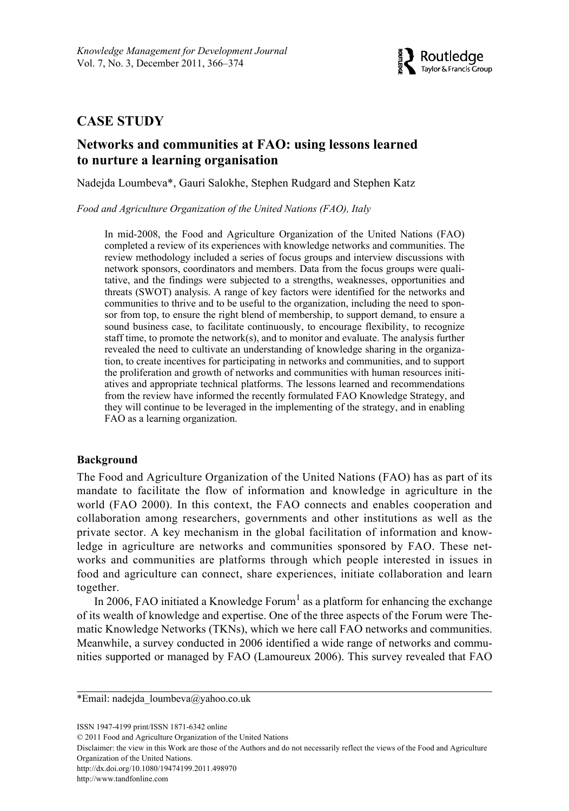

# **CASE STUDY**

# **Networks and communities at FAO: using lessons learned to nurture a learning organisation**

Nadejda Loumbeva\*, Gauri Salokhe, Stephen Rudgard and Stephen Katz

*Food and Agriculture Organization of the United Nations (FAO), Italy*

In mid-2008, the Food and Agriculture Organization of the United Nations (FAO) completed a review of its experiences with knowledge networks and communities. The review methodology included a series of focus groups and interview discussions with network sponsors, coordinators and members. Data from the focus groups were qualitative, and the findings were subjected to a strengths, weaknesses, opportunities and threats (SWOT) analysis. A range of key factors were identified for the networks and communities to thrive and to be useful to the organization, including the need to sponsor from top, to ensure the right blend of membership, to support demand, to ensure a sound business case, to facilitate continuously, to encourage flexibility, to recognize staff time, to promote the network(s), and to monitor and evaluate. The analysis further revealed the need to cultivate an understanding of knowledge sharing in the organization, to create incentives for participating in networks and communities, and to support the proliferation and growth of networks and communities with human resources initiatives and appropriate technical platforms. The lessons learned and recommendations from the review have informed the recently formulated FAO Knowledge Strategy, and they will continue to be leveraged in the implementing of the strategy, and in enabling FAO as a learning organization.

## **Background**

The Food and Agriculture Organization of the United Nations (FAO) has as part of its mandate to facilitate the flow of information and knowledge in agriculture in the world (FAO 2000). In this context, the FAO connects and enables cooperation and collaboration among researchers, governments and other institutions as well as the private sector. A key mechanism in the global facilitation of information and knowledge in agriculture are networks and communities sponsored by FAO. These networks and communities are platforms through which people interested in issues in food and agriculture can connect, share experiences, initiate collaboration and learn together.

In 2006, FAO initiated a Knowledge Forum<sup>1</sup> as a platform for enhancing the exchange of its wealth of knowledge and expertise. One of the three aspects of the Forum were Thematic Knowledge Networks (TKNs), which we here call FAO networks and communities. Meanwhile, a survey conducted in 2006 identified a wide range of networks and communities supported or managed by FAO (Lamoureux 2006). This survey revealed that FAO

Disclaimer: the view in this Work are those of the Authors and do not necessarily reflect the views of the Food and Agriculture Organization of the United Nations.

http://dx.doi.org/10.1080/19474199.2011.498970

http://www.tandfonline.com

<sup>\*</sup>Email: nadejda\_loumbeva@yahoo.co.uk

ISSN 1947-4199 print/ISSN 1871-6342 online

<sup>© 2011</sup> Food and Agriculture Organization of the United Nations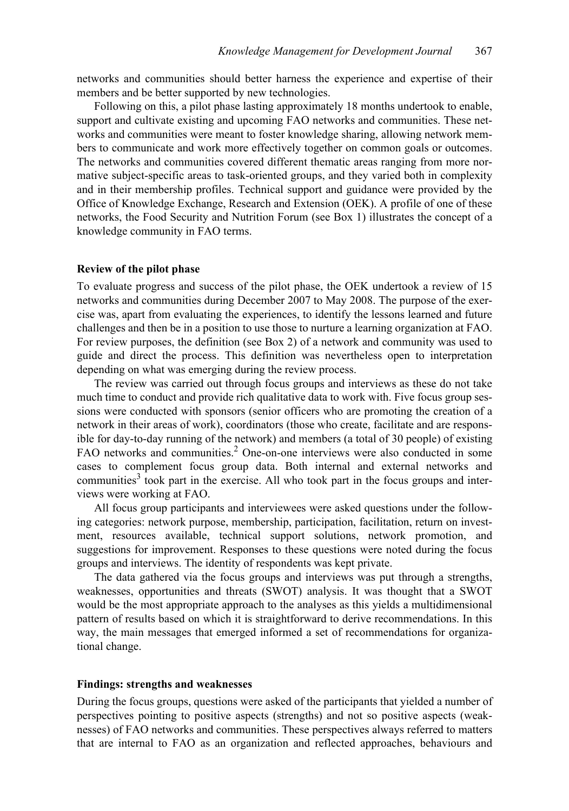networks and communities should better harness the experience and expertise of their members and be better supported by new technologies.

Following on this, a pilot phase lasting approximately 18 months undertook to enable, support and cultivate existing and upcoming FAO networks and communities. These networks and communities were meant to foster knowledge sharing, allowing network members to communicate and work more effectively together on common goals or outcomes. The networks and communities covered different thematic areas ranging from more normative subject-specific areas to task-oriented groups, and they varied both in complexity and in their membership profiles. Technical support and guidance were provided by the Office of Knowledge Exchange, Research and Extension (OEK). A profile of one of these networks, the Food Security and Nutrition Forum (see Box 1) illustrates the concept of a knowledge community in FAO terms.

#### **Review of the pilot phase**

To evaluate progress and success of the pilot phase, the OEK undertook a review of 15 networks and communities during December 2007 to May 2008. The purpose of the exercise was, apart from evaluating the experiences, to identify the lessons learned and future challenges and then be in a position to use those to nurture a learning organization at FAO. For review purposes, the definition (see Box 2) of a network and community was used to guide and direct the process. This definition was nevertheless open to interpretation depending on what was emerging during the review process.

The review was carried out through focus groups and interviews as these do not take much time to conduct and provide rich qualitative data to work with. Five focus group sessions were conducted with sponsors (senior officers who are promoting the creation of a network in their areas of work), coordinators (those who create, facilitate and are responsible for day-to-day running of the network) and members (a total of 30 people) of existing FAO networks and communities.<sup>2</sup> One-on-one interviews were also conducted in some cases to complement focus group data. Both internal and external networks and communities<sup>3</sup> took part in the exercise. All who took part in the focus groups and interviews were working at FAO.

All focus group participants and interviewees were asked questions under the following categories: network purpose, membership, participation, facilitation, return on investment, resources available, technical support solutions, network promotion, and suggestions for improvement. Responses to these questions were noted during the focus groups and interviews. The identity of respondents was kept private.

The data gathered via the focus groups and interviews was put through a strengths, weaknesses, opportunities and threats (SWOT) analysis. It was thought that a SWOT would be the most appropriate approach to the analyses as this yields a multidimensional pattern of results based on which it is straightforward to derive recommendations. In this way, the main messages that emerged informed a set of recommendations for organizational change.

#### **Findings: strengths and weaknesses**

During the focus groups, questions were asked of the participants that yielded a number of perspectives pointing to positive aspects (strengths) and not so positive aspects (weaknesses) of FAO networks and communities. These perspectives always referred to matters that are internal to FAO as an organization and reflected approaches, behaviours and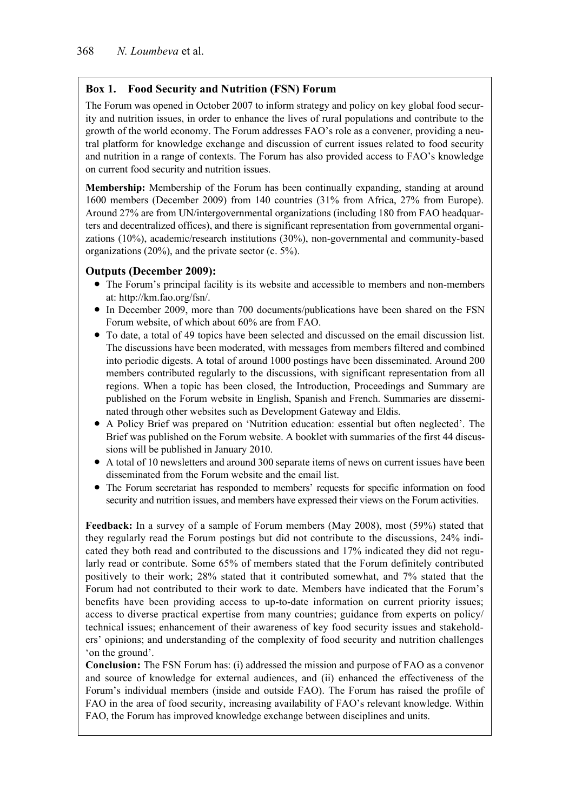# **Box 1. Food Security and Nutrition (FSN) Forum**

The Forum was opened in October 2007 to inform strategy and policy on key global food security and nutrition issues, in order to enhance the lives of rural populations and contribute to the growth of the world economy. The Forum addresses FAO's role as a convener, providing a neutral platform for knowledge exchange and discussion of current issues related to food security and nutrition in a range of contexts. The Forum has also provided access to FAO's knowledge on current food security and nutrition issues.

**Membership:** Membership of the Forum has been continually expanding, standing at around 1600 members (December 2009) from 140 countries (31% from Africa, 27% from Europe). Around 27% are from UN/intergovernmental organizations (including 180 from FAO headquarters and decentralized offices), and there is significant representation from governmental organizations (10%), academic/research institutions (30%), non-governmental and community-based organizations (20%), and the private sector (c. 5%).

## **Outputs (December 2009):**

- The Forum's principal facility is its website and accessible to members and non-members at: http://km.fao.org/fsn/.
- In December 2009, more than 700 documents/publications have been shared on the FSN Forum website, of which about 60% are from FAO.
- To date, a total of 49 topics have been selected and discussed on the email discussion list. The discussions have been moderated, with messages from members filtered and combined into periodic digests. A total of around 1000 postings have been disseminated. Around 200 members contributed regularly to the discussions, with significant representation from all regions. When a topic has been closed, the Introduction, Proceedings and Summary are published on the Forum website in English, Spanish and French. Summaries are disseminated through other websites such as Development Gateway and Eldis.
- A Policy Brief was prepared on 'Nutrition education: essential but often neglected'. The Brief was published on the Forum website. A booklet with summaries of the first 44 discussions will be published in January 2010.
- A total of 10 newsletters and around 300 separate items of news on current issues have been disseminated from the Forum website and the email list.
- The Forum secretariat has responded to members' requests for specific information on food security and nutrition issues, and members have expressed their views on the Forum activities.

**Feedback:** In a survey of a sample of Forum members (May 2008), most (59%) stated that they regularly read the Forum postings but did not contribute to the discussions, 24% indicated they both read and contributed to the discussions and 17% indicated they did not regularly read or contribute. Some 65% of members stated that the Forum definitely contributed positively to their work; 28% stated that it contributed somewhat, and 7% stated that the Forum had not contributed to their work to date. Members have indicated that the Forum's benefits have been providing access to up-to-date information on current priority issues; access to diverse practical expertise from many countries; guidance from experts on policy/ technical issues; enhancement of their awareness of key food security issues and stakeholders' opinions; and understanding of the complexity of food security and nutrition challenges 'on the ground'.

**Conclusion:** The FSN Forum has: (i) addressed the mission and purpose of FAO as a convenor and source of knowledge for external audiences, and (ii) enhanced the effectiveness of the Forum's individual members (inside and outside FAO). The Forum has raised the profile of FAO in the area of food security, increasing availability of FAO's relevant knowledge. Within FAO, the Forum has improved knowledge exchange between disciplines and units.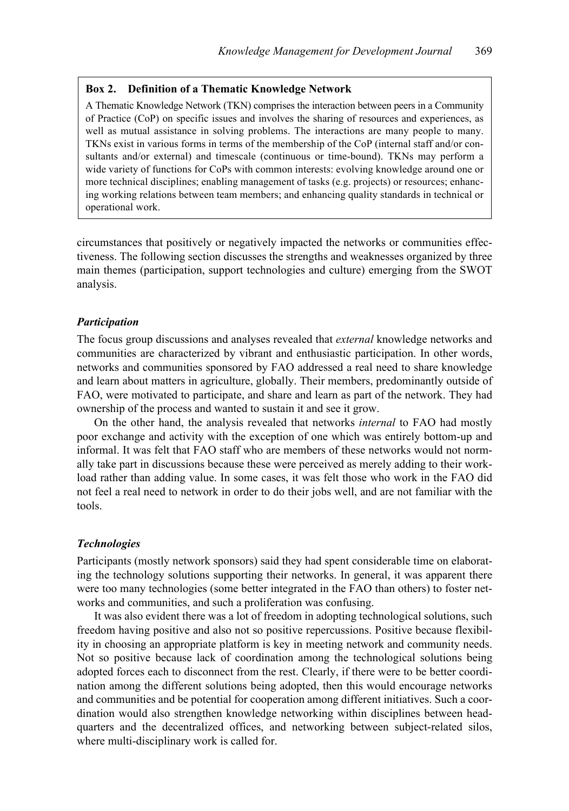### **Box 2. Definition of a Thematic Knowledge Network**

A Thematic Knowledge Network (TKN) comprises the interaction between peers in a Community of Practice (CoP) on specific issues and involves the sharing of resources and experiences, as well as mutual assistance in solving problems. The interactions are many people to many. TKNs exist in various forms in terms of the membership of the CoP (internal staff and/or consultants and/or external) and timescale (continuous or time-bound). TKNs may perform a wide variety of functions for CoPs with common interests: evolving knowledge around one or more technical disciplines; enabling management of tasks (e.g. projects) or resources; enhancing working relations between team members; and enhancing quality standards in technical or operational work.

circumstances that positively or negatively impacted the networks or communities effectiveness. The following section discusses the strengths and weaknesses organized by three main themes (participation, support technologies and culture) emerging from the SWOT analysis.

### *Participation*

The focus group discussions and analyses revealed that *external* knowledge networks and communities are characterized by vibrant and enthusiastic participation. In other words, networks and communities sponsored by FAO addressed a real need to share knowledge and learn about matters in agriculture, globally. Their members, predominantly outside of FAO, were motivated to participate, and share and learn as part of the network. They had ownership of the process and wanted to sustain it and see it grow.

On the other hand, the analysis revealed that networks *internal* to FAO had mostly poor exchange and activity with the exception of one which was entirely bottom-up and informal. It was felt that FAO staff who are members of these networks would not normally take part in discussions because these were perceived as merely adding to their workload rather than adding value. In some cases, it was felt those who work in the FAO did not feel a real need to network in order to do their jobs well, and are not familiar with the tools.

### *Technologies*

Participants (mostly network sponsors) said they had spent considerable time on elaborating the technology solutions supporting their networks. In general, it was apparent there were too many technologies (some better integrated in the FAO than others) to foster networks and communities, and such a proliferation was confusing.

It was also evident there was a lot of freedom in adopting technological solutions, such freedom having positive and also not so positive repercussions. Positive because flexibility in choosing an appropriate platform is key in meeting network and community needs. Not so positive because lack of coordination among the technological solutions being adopted forces each to disconnect from the rest. Clearly, if there were to be better coordination among the different solutions being adopted, then this would encourage networks and communities and be potential for cooperation among different initiatives. Such a coordination would also strengthen knowledge networking within disciplines between headquarters and the decentralized offices, and networking between subject-related silos, where multi-disciplinary work is called for.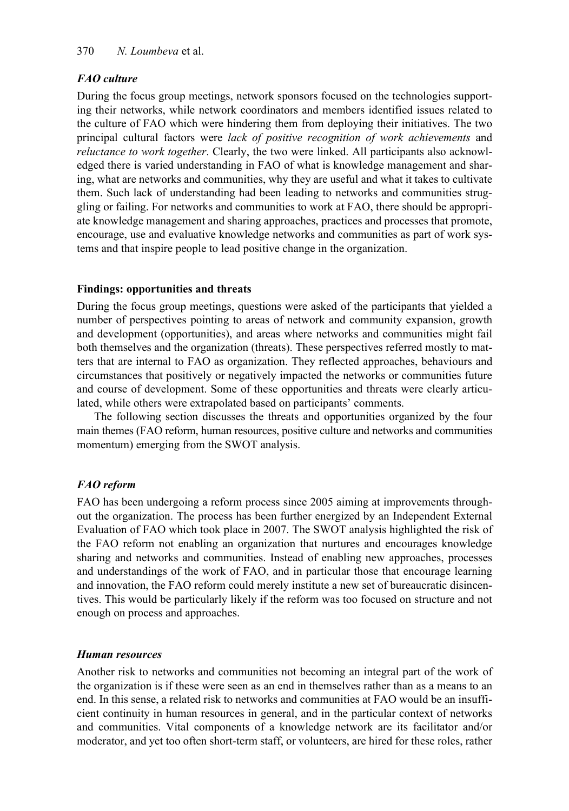# *FAO culture*

During the focus group meetings, network sponsors focused on the technologies supporting their networks, while network coordinators and members identified issues related to the culture of FAO which were hindering them from deploying their initiatives. The two principal cultural factors were *lack of positive recognition of work achievements* and *reluctance to work together*. Clearly, the two were linked. All participants also acknowledged there is varied understanding in FAO of what is knowledge management and sharing, what are networks and communities, why they are useful and what it takes to cultivate them. Such lack of understanding had been leading to networks and communities struggling or failing. For networks and communities to work at FAO, there should be appropriate knowledge management and sharing approaches, practices and processes that promote, encourage, use and evaluative knowledge networks and communities as part of work systems and that inspire people to lead positive change in the organization.

## **Findings: opportunities and threats**

During the focus group meetings, questions were asked of the participants that yielded a number of perspectives pointing to areas of network and community expansion, growth and development (opportunities), and areas where networks and communities might fail both themselves and the organization (threats). These perspectives referred mostly to matters that are internal to FAO as organization. They reflected approaches, behaviours and circumstances that positively or negatively impacted the networks or communities future and course of development. Some of these opportunities and threats were clearly articulated, while others were extrapolated based on participants' comments.

The following section discusses the threats and opportunities organized by the four main themes (FAO reform, human resources, positive culture and networks and communities momentum) emerging from the SWOT analysis.

# *FAO reform*

FAO has been undergoing a reform process since 2005 aiming at improvements throughout the organization. The process has been further energized by an Independent External Evaluation of FAO which took place in 2007. The SWOT analysis highlighted the risk of the FAO reform not enabling an organization that nurtures and encourages knowledge sharing and networks and communities. Instead of enabling new approaches, processes and understandings of the work of FAO, and in particular those that encourage learning and innovation, the FAO reform could merely institute a new set of bureaucratic disincentives. This would be particularly likely if the reform was too focused on structure and not enough on process and approaches.

## *Human resources*

Another risk to networks and communities not becoming an integral part of the work of the organization is if these were seen as an end in themselves rather than as a means to an end. In this sense, a related risk to networks and communities at FAO would be an insufficient continuity in human resources in general, and in the particular context of networks and communities. Vital components of a knowledge network are its facilitator and/or moderator, and yet too often short-term staff, or volunteers, are hired for these roles, rather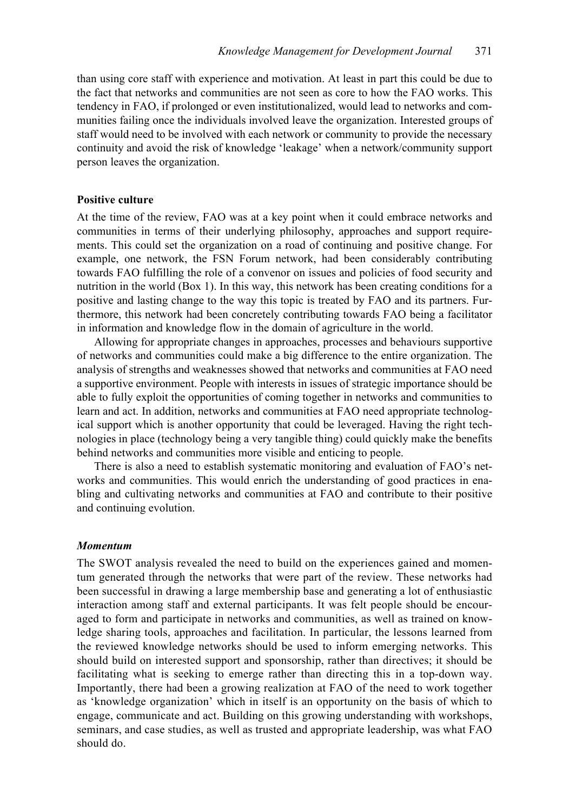than using core staff with experience and motivation. At least in part this could be due to the fact that networks and communities are not seen as core to how the FAO works. This tendency in FAO, if prolonged or even institutionalized, would lead to networks and communities failing once the individuals involved leave the organization. Interested groups of staff would need to be involved with each network or community to provide the necessary continuity and avoid the risk of knowledge 'leakage' when a network/community support person leaves the organization.

### **Positive culture**

At the time of the review, FAO was at a key point when it could embrace networks and communities in terms of their underlying philosophy, approaches and support requirements. This could set the organization on a road of continuing and positive change. For example, one network, the FSN Forum network, had been considerably contributing towards FAO fulfilling the role of a convenor on issues and policies of food security and nutrition in the world (Box 1). In this way, this network has been creating conditions for a positive and lasting change to the way this topic is treated by FAO and its partners. Furthermore, this network had been concretely contributing towards FAO being a facilitator in information and knowledge flow in the domain of agriculture in the world.

Allowing for appropriate changes in approaches, processes and behaviours supportive of networks and communities could make a big difference to the entire organization. The analysis of strengths and weaknesses showed that networks and communities at FAO need a supportive environment. People with interests in issues of strategic importance should be able to fully exploit the opportunities of coming together in networks and communities to learn and act. In addition, networks and communities at FAO need appropriate technological support which is another opportunity that could be leveraged. Having the right technologies in place (technology being a very tangible thing) could quickly make the benefits behind networks and communities more visible and enticing to people.

There is also a need to establish systematic monitoring and evaluation of FAO's networks and communities. This would enrich the understanding of good practices in enabling and cultivating networks and communities at FAO and contribute to their positive and continuing evolution.

### *Momentum*

The SWOT analysis revealed the need to build on the experiences gained and momentum generated through the networks that were part of the review. These networks had been successful in drawing a large membership base and generating a lot of enthusiastic interaction among staff and external participants. It was felt people should be encouraged to form and participate in networks and communities, as well as trained on knowledge sharing tools, approaches and facilitation. In particular, the lessons learned from the reviewed knowledge networks should be used to inform emerging networks. This should build on interested support and sponsorship, rather than directives; it should be facilitating what is seeking to emerge rather than directing this in a top-down way. Importantly, there had been a growing realization at FAO of the need to work together as 'knowledge organization' which in itself is an opportunity on the basis of which to engage, communicate and act. Building on this growing understanding with workshops, seminars, and case studies, as well as trusted and appropriate leadership, was what FAO should do.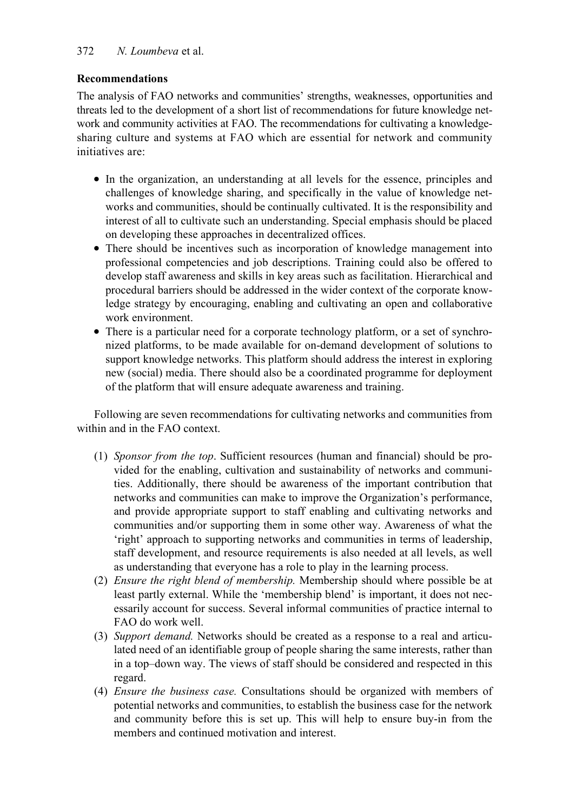# **Recommendations**

The analysis of FAO networks and communities' strengths, weaknesses, opportunities and threats led to the development of a short list of recommendations for future knowledge network and community activities at FAO. The recommendations for cultivating a knowledgesharing culture and systems at FAO which are essential for network and community initiatives are:

- In the organization, an understanding at all levels for the essence, principles and challenges of knowledge sharing, and specifically in the value of knowledge networks and communities, should be continually cultivated. It is the responsibility and interest of all to cultivate such an understanding. Special emphasis should be placed on developing these approaches in decentralized offices.
- There should be incentives such as incorporation of knowledge management into professional competencies and job descriptions. Training could also be offered to develop staff awareness and skills in key areas such as facilitation. Hierarchical and procedural barriers should be addressed in the wider context of the corporate knowledge strategy by encouraging, enabling and cultivating an open and collaborative work environment.
- There is a particular need for a corporate technology platform, or a set of synchronized platforms, to be made available for on-demand development of solutions to support knowledge networks. This platform should address the interest in exploring new (social) media. There should also be a coordinated programme for deployment of the platform that will ensure adequate awareness and training.

Following are seven recommendations for cultivating networks and communities from within and in the FAO context.

- (1) *Sponsor from the top*. Sufficient resources (human and financial) should be provided for the enabling, cultivation and sustainability of networks and communities. Additionally, there should be awareness of the important contribution that networks and communities can make to improve the Organization's performance, and provide appropriate support to staff enabling and cultivating networks and communities and/or supporting them in some other way. Awareness of what the 'right' approach to supporting networks and communities in terms of leadership, staff development, and resource requirements is also needed at all levels, as well as understanding that everyone has a role to play in the learning process.
- (2) *Ensure the right blend of membership.* Membership should where possible be at least partly external. While the 'membership blend' is important, it does not necessarily account for success. Several informal communities of practice internal to FAO do work well.
- (3) *Support demand.* Networks should be created as a response to a real and articulated need of an identifiable group of people sharing the same interests, rather than in a top–down way. The views of staff should be considered and respected in this regard.
- (4) *Ensure the business case.* Consultations should be organized with members of potential networks and communities, to establish the business case for the network and community before this is set up. This will help to ensure buy-in from the members and continued motivation and interest.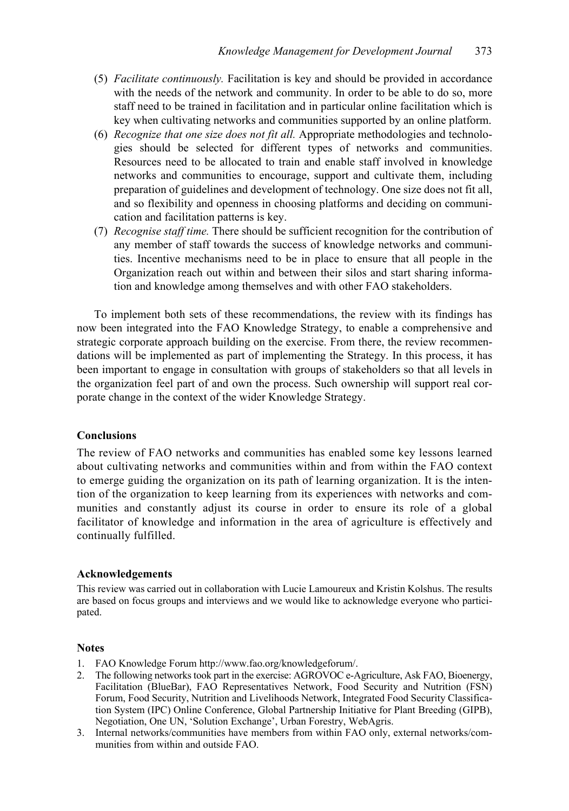- (5) *Facilitate continuously.* Facilitation is key and should be provided in accordance with the needs of the network and community. In order to be able to do so, more staff need to be trained in facilitation and in particular online facilitation which is key when cultivating networks and communities supported by an online platform.
- (6) *Recognize that one size does not fit all.* Appropriate methodologies and technologies should be selected for different types of networks and communities. Resources need to be allocated to train and enable staff involved in knowledge networks and communities to encourage, support and cultivate them, including preparation of guidelines and development of technology. One size does not fit all, and so flexibility and openness in choosing platforms and deciding on communication and facilitation patterns is key.
- (7) *Recognise staff time.* There should be sufficient recognition for the contribution of any member of staff towards the success of knowledge networks and communities. Incentive mechanisms need to be in place to ensure that all people in the Organization reach out within and between their silos and start sharing information and knowledge among themselves and with other FAO stakeholders.

To implement both sets of these recommendations, the review with its findings has now been integrated into the FAO Knowledge Strategy, to enable a comprehensive and strategic corporate approach building on the exercise. From there, the review recommendations will be implemented as part of implementing the Strategy. In this process, it has been important to engage in consultation with groups of stakeholders so that all levels in the organization feel part of and own the process. Such ownership will support real corporate change in the context of the wider Knowledge Strategy.

### **Conclusions**

The review of FAO networks and communities has enabled some key lessons learned about cultivating networks and communities within and from within the FAO context to emerge guiding the organization on its path of learning organization. It is the intention of the organization to keep learning from its experiences with networks and communities and constantly adjust its course in order to ensure its role of a global facilitator of knowledge and information in the area of agriculture is effectively and continually fulfilled.

### **Acknowledgements**

This review was carried out in collaboration with Lucie Lamoureux and Kristin Kolshus. The results are based on focus groups and interviews and we would like to acknowledge everyone who participated.

### **Notes**

- 1. FAO Knowledge Forum http://www.fao.org/knowledgeforum/.
- 2. The following networks took part in the exercise: AGROVOC e-Agriculture, Ask FAO, Bioenergy, Facilitation (BlueBar), FAO Representatives Network, Food Security and Nutrition (FSN) Forum, Food Security, Nutrition and Livelihoods Network, Integrated Food Security Classification System (IPC) Online Conference, Global Partnership Initiative for Plant Breeding (GIPB), Negotiation, One UN, 'Solution Exchange', Urban Forestry, WebAgris.
- 3. Internal networks/communities have members from within FAO only, external networks/communities from within and outside FAO.